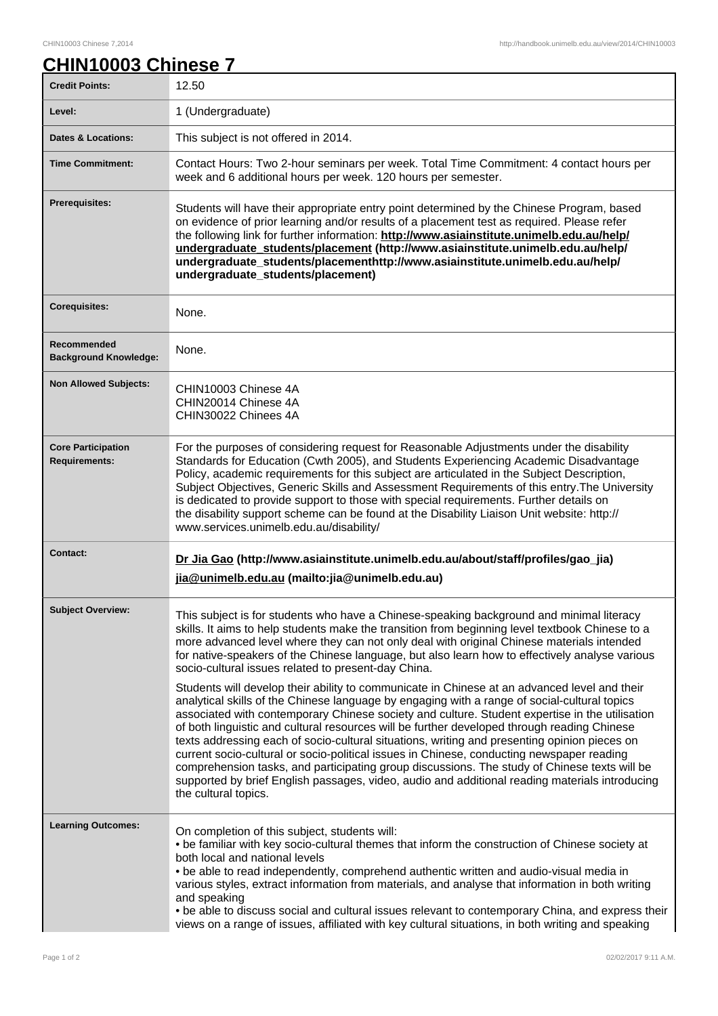## **CHIN10003 Chinese 7**

| <b>Credit Points:</b>                             | 12.50                                                                                                                                                                                                                                                                                                                                                                                                                                                                                                                                                                                                                                                                                                                                                                                                                                                                                                                                                                                                                                                                                                                                           |
|---------------------------------------------------|-------------------------------------------------------------------------------------------------------------------------------------------------------------------------------------------------------------------------------------------------------------------------------------------------------------------------------------------------------------------------------------------------------------------------------------------------------------------------------------------------------------------------------------------------------------------------------------------------------------------------------------------------------------------------------------------------------------------------------------------------------------------------------------------------------------------------------------------------------------------------------------------------------------------------------------------------------------------------------------------------------------------------------------------------------------------------------------------------------------------------------------------------|
| Level:                                            | 1 (Undergraduate)                                                                                                                                                                                                                                                                                                                                                                                                                                                                                                                                                                                                                                                                                                                                                                                                                                                                                                                                                                                                                                                                                                                               |
| <b>Dates &amp; Locations:</b>                     | This subject is not offered in 2014.                                                                                                                                                                                                                                                                                                                                                                                                                                                                                                                                                                                                                                                                                                                                                                                                                                                                                                                                                                                                                                                                                                            |
| <b>Time Commitment:</b>                           | Contact Hours: Two 2-hour seminars per week. Total Time Commitment: 4 contact hours per<br>week and 6 additional hours per week. 120 hours per semester.                                                                                                                                                                                                                                                                                                                                                                                                                                                                                                                                                                                                                                                                                                                                                                                                                                                                                                                                                                                        |
| <b>Prerequisites:</b>                             | Students will have their appropriate entry point determined by the Chinese Program, based<br>on evidence of prior learning and/or results of a placement test as required. Please refer<br>the following link for further information: http://www.asiainstitute.unimelb.edu.au/help/<br>undergraduate_students/placement (http://www.asiainstitute.unimelb.edu.au/help/<br>undergraduate_students/placementhttp://www.asiainstitute.unimelb.edu.au/help/<br>undergraduate_students/placement)                                                                                                                                                                                                                                                                                                                                                                                                                                                                                                                                                                                                                                                   |
| <b>Corequisites:</b>                              | None.                                                                                                                                                                                                                                                                                                                                                                                                                                                                                                                                                                                                                                                                                                                                                                                                                                                                                                                                                                                                                                                                                                                                           |
| Recommended<br><b>Background Knowledge:</b>       | None.                                                                                                                                                                                                                                                                                                                                                                                                                                                                                                                                                                                                                                                                                                                                                                                                                                                                                                                                                                                                                                                                                                                                           |
| <b>Non Allowed Subjects:</b>                      | CHIN10003 Chinese 4A<br>CHIN20014 Chinese 4A<br>CHIN30022 Chinees 4A                                                                                                                                                                                                                                                                                                                                                                                                                                                                                                                                                                                                                                                                                                                                                                                                                                                                                                                                                                                                                                                                            |
| <b>Core Participation</b><br><b>Requirements:</b> | For the purposes of considering request for Reasonable Adjustments under the disability<br>Standards for Education (Cwth 2005), and Students Experiencing Academic Disadvantage<br>Policy, academic requirements for this subject are articulated in the Subject Description,<br>Subject Objectives, Generic Skills and Assessment Requirements of this entry. The University<br>is dedicated to provide support to those with special requirements. Further details on<br>the disability support scheme can be found at the Disability Liaison Unit website: http://<br>www.services.unimelb.edu.au/disability/                                                                                                                                                                                                                                                                                                                                                                                                                                                                                                                                |
| <b>Contact:</b>                                   | Dr Jia Gao (http://www.asiainstitute.unimelb.edu.au/about/staff/profiles/gao_jia)<br>jia@unimelb.edu.au (mailto: jia@unimelb.edu.au)                                                                                                                                                                                                                                                                                                                                                                                                                                                                                                                                                                                                                                                                                                                                                                                                                                                                                                                                                                                                            |
| <b>Subject Overview:</b>                          | This subject is for students who have a Chinese-speaking background and minimal literacy<br>skills. It aims to help students make the transition from beginning level textbook Chinese to a<br>more advanced level where they can not only deal with original Chinese materials intended<br>for native-speakers of the Chinese language, but also learn how to effectively analyse various<br>socio-cultural issues related to present-day China.<br>Students will develop their ability to communicate in Chinese at an advanced level and their<br>analytical skills of the Chinese language by engaging with a range of social-cultural topics<br>associated with contemporary Chinese society and culture. Student expertise in the utilisation<br>of both linguistic and cultural resources will be further developed through reading Chinese<br>texts addressing each of socio-cultural situations, writing and presenting opinion pieces on<br>current socio-cultural or socio-political issues in Chinese, conducting newspaper reading<br>comprehension tasks, and participating group discussions. The study of Chinese texts will be |
|                                                   | supported by brief English passages, video, audio and additional reading materials introducing<br>the cultural topics.                                                                                                                                                                                                                                                                                                                                                                                                                                                                                                                                                                                                                                                                                                                                                                                                                                                                                                                                                                                                                          |
| <b>Learning Outcomes:</b>                         | On completion of this subject, students will:<br>• be familiar with key socio-cultural themes that inform the construction of Chinese society at<br>both local and national levels<br>. be able to read independently, comprehend authentic written and audio-visual media in<br>various styles, extract information from materials, and analyse that information in both writing<br>and speaking<br>. be able to discuss social and cultural issues relevant to contemporary China, and express their<br>views on a range of issues, affiliated with key cultural situations, in both writing and speaking                                                                                                                                                                                                                                                                                                                                                                                                                                                                                                                                     |